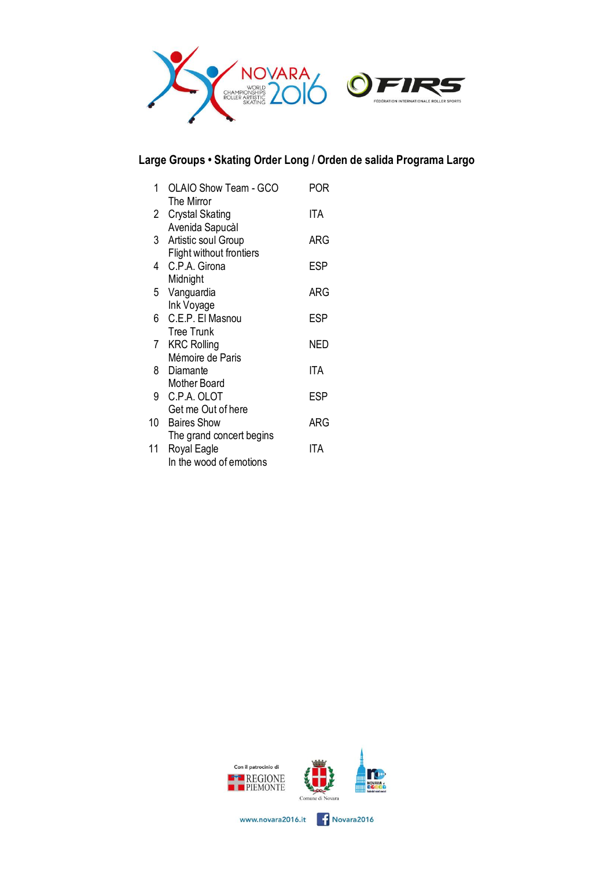

## **Large Groups • Skating Order Long / Orden de salida Programa Largo**

| 1  | <b>OLAIO Show Team - GCO</b><br>The Mirror | POR        |
|----|--------------------------------------------|------------|
| 2  | <b>Crystal Skating</b>                     | ITA        |
| 3  | Avenida Sapucàl<br>Artistic soul Group     | ARG        |
| 4  | Flight without frontiers<br>C.P.A. Girona  | ESP        |
| 5  | Midnight<br>Vanguardia                     | ARG        |
| 6  | Ink Voyage<br>C.E.P. El Masnou             | ESP        |
| 7  | <b>Tree Trunk</b><br><b>KRC Rolling</b>    | NED        |
| 8  | Mémoire de Paris<br>Diamante               | <b>ITA</b> |
| 9  | Mother Board<br>C.P.A. OLOT                | ESP        |
| 10 | Get me Out of here<br><b>Baires Show</b>   | ARG        |
| 11 | The grand concert begins<br>Royal Eagle    | ITA        |
|    | In the wood of emotions                    |            |